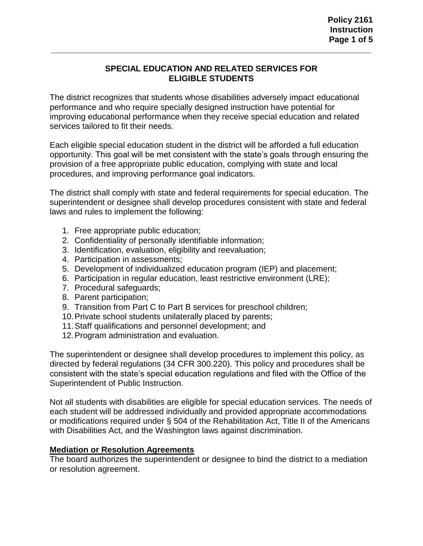### **SPECIAL EDUCATION AND RELATED SERVICES FOR ELIGIBLE STUDENTS**

**\_\_\_\_\_\_\_\_\_\_\_\_\_\_\_\_\_\_\_\_\_\_\_\_\_\_\_\_\_\_\_\_\_\_\_\_\_\_\_\_\_\_\_\_\_\_\_\_\_\_\_\_\_\_\_\_\_\_\_\_\_\_\_\_\_\_\_\_\_**

The district recognizes that students whose disabilities adversely impact educational performance and who require specially designed instruction have potential for improving educational performance when they receive special education and related services tailored to fit their needs.

Each eligible special education student in the district will be afforded a full education opportunity. This goal will be met consistent with the state's goals through ensuring the provision of a free appropriate public education, complying with state and local procedures, and improving performance goal indicators.

The district shall comply with state and federal requirements for special education. The superintendent or designee shall develop procedures consistent with state and federal laws and rules to implement the following:

- 1. Free appropriate public education;
- 2. Confidentiality of personally identifiable information;
- 3. Identification, evaluation, eligibility and reevaluation;
- 4. Participation in assessments;
- 5. Development of individualized education program (IEP) and placement;
- 6. Participation in regular education, least restrictive environment (LRE);
- 7. Procedural safeguards;
- 8. Parent participation;
- 9. Transition from Part C to Part B services for preschool children;
- 10.Private school students unilaterally placed by parents;
- 11.Staff qualifications and personnel development; and
- 12.Program administration and evaluation.

The superintendent or designee shall develop procedures to implement this policy, as directed by federal regulations (34 CFR 300.220). This policy and procedures shall be consistent with the state's special education regulations and filed with the Office of the Superintendent of Public Instruction.

Not all students with disabilities are eligible for special education services. The needs of each student will be addressed individually and provided appropriate accommodations or modifications required under § 504 of the Rehabilitation Act, Title II of the Americans with Disabilities Act, and the Washington laws against discrimination.

#### **Mediation or Resolution Agreements**

The board authorizes the superintendent or designee to bind the district to a mediation or resolution agreement.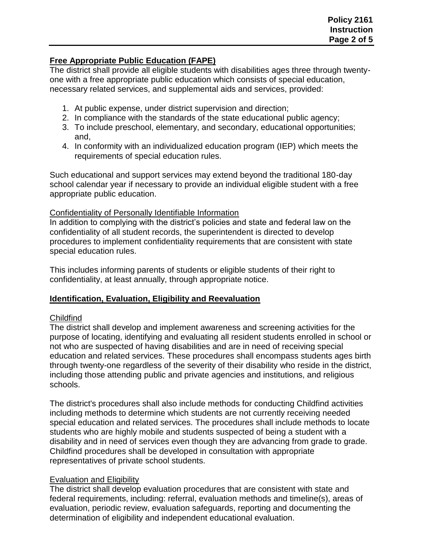### **Free Appropriate Public Education (FAPE)**

The district shall provide all eligible students with disabilities ages three through twentyone with a free appropriate public education which consists of special education, necessary related services, and supplemental aids and services, provided:

- 1. At public expense, under district supervision and direction;
- 2. In compliance with the standards of the state educational public agency;
- 3. To include preschool, elementary, and secondary, educational opportunities; and,
- 4. In conformity with an individualized education program (IEP) which meets the requirements of special education rules.

Such educational and support services may extend beyond the traditional 180-day school calendar year if necessary to provide an individual eligible student with a free appropriate public education.

## Confidentiality of Personally Identifiable Information

In addition to complying with the district's policies and state and federal law on the confidentiality of all student records, the superintendent is directed to develop procedures to implement confidentiality requirements that are consistent with state special education rules.

This includes informing parents of students or eligible students of their right to confidentiality, at least annually, through appropriate notice.

# **Identification, Evaluation, Eligibility and Reevaluation**

# **Childfind**

The district shall develop and implement awareness and screening activities for the purpose of locating, identifying and evaluating all resident students enrolled in school or not who are suspected of having disabilities and are in need of receiving special education and related services. These procedures shall encompass students ages birth through twenty-one regardless of the severity of their disability who reside in the district, including those attending public and private agencies and institutions, and religious schools.

The district's procedures shall also include methods for conducting Childfind activities including methods to determine which students are not currently receiving needed special education and related services. The procedures shall include methods to locate students who are highly mobile and students suspected of being a student with a disability and in need of services even though they are advancing from grade to grade. Childfind procedures shall be developed in consultation with appropriate representatives of private school students.

# Evaluation and Eligibility

The district shall develop evaluation procedures that are consistent with state and federal requirements, including: referral, evaluation methods and timeline(s), areas of evaluation, periodic review, evaluation safeguards, reporting and documenting the determination of eligibility and independent educational evaluation.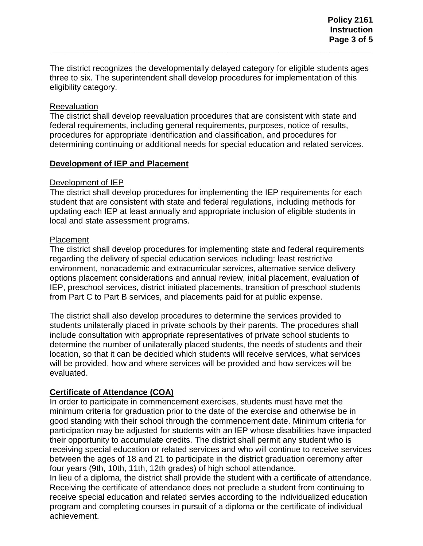The district recognizes the developmentally delayed category for eligible students ages three to six. The superintendent shall develop procedures for implementation of this eligibility category.

**\_\_\_\_\_\_\_\_\_\_\_\_\_\_\_\_\_\_\_\_\_\_\_\_\_\_\_\_\_\_\_\_\_\_\_\_\_\_\_\_\_\_\_\_\_\_\_\_\_\_\_\_\_\_\_\_\_\_\_\_\_\_\_\_\_\_\_\_\_**

#### **Reevaluation**

The district shall develop reevaluation procedures that are consistent with state and federal requirements, including general requirements, purposes, notice of results, procedures for appropriate identification and classification, and procedures for determining continuing or additional needs for special education and related services.

### **Development of IEP and Placement**

#### Development of IEP

The district shall develop procedures for implementing the IEP requirements for each student that are consistent with state and federal regulations, including methods for updating each IEP at least annually and appropriate inclusion of eligible students in local and state assessment programs.

### Placement

The district shall develop procedures for implementing state and federal requirements regarding the delivery of special education services including: least restrictive environment, nonacademic and extracurricular services, alternative service delivery options placement considerations and annual review, initial placement, evaluation of IEP, preschool services, district initiated placements, transition of preschool students from Part C to Part B services, and placements paid for at public expense.

The district shall also develop procedures to determine the services provided to students unilaterally placed in private schools by their parents. The procedures shall include consultation with appropriate representatives of private school students to determine the number of unilaterally placed students, the needs of students and their location, so that it can be decided which students will receive services, what services will be provided, how and where services will be provided and how services will be evaluated.

### **Certificate of Attendance (COA)**

In order to participate in commencement exercises, students must have met the minimum criteria for graduation prior to the date of the exercise and otherwise be in good standing with their school through the commencement date. Minimum criteria for participation may be adjusted for students with an IEP whose disabilities have impacted their opportunity to accumulate credits. The district shall permit any student who is receiving special education or related services and who will continue to receive services between the ages of 18 and 21 to participate in the district graduation ceremony after four years (9th, 10th, 11th, 12th grades) of high school attendance.

In lieu of a diploma, the district shall provide the student with a certificate of attendance. Receiving the certificate of attendance does not preclude a student from continuing to receive special education and related servies according to the individualized education program and completing courses in pursuit of a diploma or the certificate of individual achievement.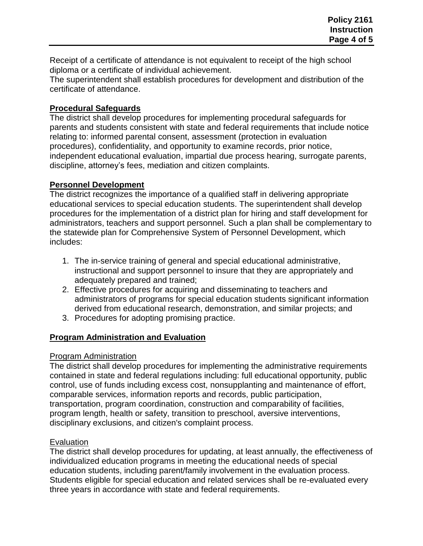Receipt of a certificate of attendance is not equivalent to receipt of the high school diploma or a certificate of individual achievement.

The superintendent shall establish procedures for development and distribution of the certificate of attendance.

### **Procedural Safeguards**

The district shall develop procedures for implementing procedural safeguards for parents and students consistent with state and federal requirements that include notice relating to: informed parental consent, assessment (protection in evaluation procedures), confidentiality, and opportunity to examine records, prior notice, independent educational evaluation, impartial due process hearing, surrogate parents, discipline, attorney's fees, mediation and citizen complaints.

# **Personnel Development**

The district recognizes the importance of a qualified staff in delivering appropriate educational services to special education students. The superintendent shall develop procedures for the implementation of a district plan for hiring and staff development for administrators, teachers and support personnel. Such a plan shall be complementary to the statewide plan for Comprehensive System of Personnel Development, which includes:

- 1. The in-service training of general and special educational administrative, instructional and support personnel to insure that they are appropriately and adequately prepared and trained;
- 2. Effective procedures for acquiring and disseminating to teachers and administrators of programs for special education students significant information derived from educational research, demonstration, and similar projects; and
- 3. Procedures for adopting promising practice.

# **Program Administration and Evaluation**

### Program Administration

The district shall develop procedures for implementing the administrative requirements contained in state and federal regulations including: full educational opportunity, public control, use of funds including excess cost, nonsupplanting and maintenance of effort, comparable services, information reports and records, public participation, transportation, program coordination, construction and comparability of facilities, program length, health or safety, transition to preschool, aversive interventions, disciplinary exclusions, and citizen's complaint process.

# **Evaluation**

The district shall develop procedures for updating, at least annually, the effectiveness of individualized education programs in meeting the educational needs of special education students, including parent/family involvement in the evaluation process. Students eligible for special education and related services shall be re-evaluated every three years in accordance with state and federal requirements.